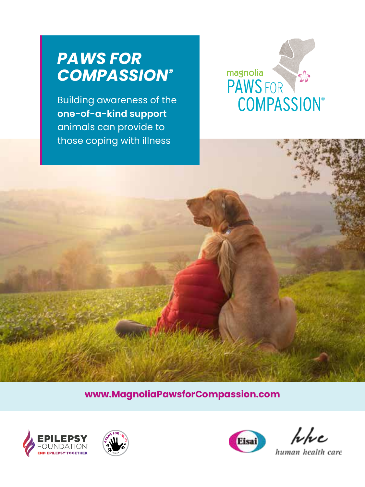# *PAWS FOR COMPASSION®*

Building awareness of the **one-of-a-kind support** animals can provide to those coping with illness



**www.MagnoliaPawsforCompassion.com**







Whe

human health care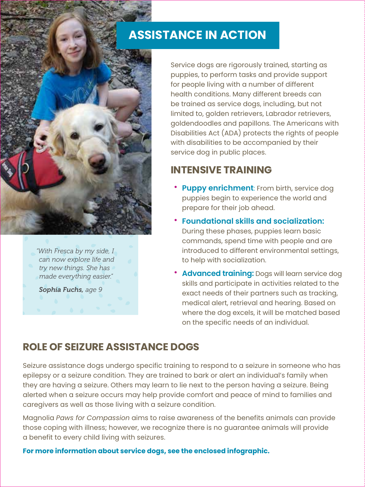# **ASSISTANCE IN ACTION**

Service dogs are rigorously trained, starting as puppies, to perform tasks and provide support for people living with a number of different health conditions. Many different breeds can be trained as service dogs, including, but not limited to, golden retrievers, Labrador retrievers, goldendoodles and papillons. The Americans with Disabilities Act (ADA) protects the rights of people with disabilities to be accompanied by their service dog in public places.

## **INTENSIVE TRAINING**

- **Puppy enrichment:** From birth, service dog puppies begin to experience the world and prepare for their job ahead.
- **Foundational skills and socialization:** During these phases, puppies learn basic commands, spend time with people and are introduced to different environmental settings, to help with socialization.
- **Advanced training:** Dogs will learn service dog skills and participate in activities related to the exact needs of their partners such as tracking, medical alert, retrieval and hearing. Based on where the dog excels, it will be matched based on the specific needs of an individual.

### **ROLE OF SEIZURE ASSISTANCE DOGS**

*"With Fresca by my side, I can now explore life and try new things. She has made everything easier." Sophia Fuchs, age 9*

Seizure assistance dogs undergo specific training to respond to a seizure in someone who has epilepsy or a seizure condition. They are trained to bark or alert an individual's family when they are having a seizure. Others may learn to lie next to the person having a seizure. Being alerted when a seizure occurs may help provide comfort and peace of mind to families and caregivers as well as those living with a seizure condition.

Magnolia *Paws for Compassion* aims to raise awareness of the benefits animals can provide those coping with illness; however, we recognize there is no guarantee animals will provide a benefit to every child living with seizures.

**For more information about service dogs, see the enclosed infographic.**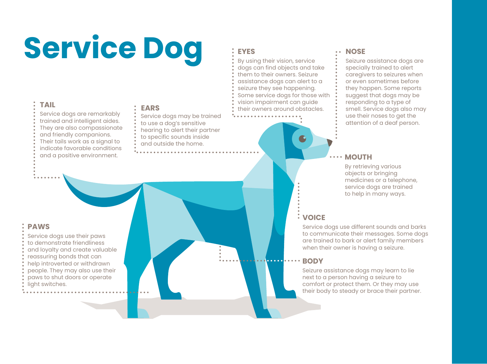# **Service Dog**

#### **TAIL**

Service dogs are remarkably trained and intelligent aides. They are also compassionate and friendly companions. Their tails work as a signal to indicate favorable conditions and a positive environment.

#### **EARS**

- Service dogs may be trained
- to use a dog's sensitive
- hearing to alert their partner
- to specific sounds inside
- and outside the home.

#### **EYES**

By using their vision, service dogs can find objects and take them to their owners. Seizure assistance dogs can alert to a seizure they see happening. Some service dogs for those with vision impairment can guide

their owners around obstacles.

#### **NOSE**

Seizure assistance dogs are specially trained to alert caregivers to seizures when or even sometimes before they happen. Some reports suggest that dogs may be responding to a type of smell. Service dogs also may use their noses to get the attention of a deaf person.

#### **MOUTH**

By retrieving various objects or bringing medicines or a telephone, service dogs are trained to help in many ways.

#### **VOICE**

Service dogs use different sounds and barks to communicate their messages. Some dogs are trained to bark or alert family members when their owner is having a seizure.

#### **BODY**

Seizure assistance dogs may learn to lie next to a person having a seizure to comfort or protect them. Or they may use their body to steady or brace their partner.

#### **PAWS**

- Service dogs use their paws
- to demonstrate friendliness
- and loyalty and create valuable
- reassuring bonds that can
- help introverted or withdrawn
- people. They may also use their
- paws to shut doors or operate
- light switches.
-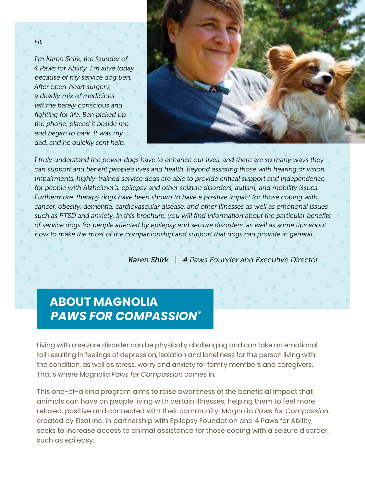*Hi,* 

*I'm Karen Shirk, the founder of 4 Paws for Ability. I'm alive today because of my service dog Ben. After open-heart surgery, a deadly mix of medicines left me barely conscious and fighting for life. Ben picked up the phone, placed it beside me and began to bark. It was my dad, and he quickly sent help.* 



*I truly understand the power dogs have to enhance our lives, and there are so many ways they can support and benefit people's lives and health. Beyond assisting those with hearing or vision impairments, highly-trained service dogs are able to provide critical support and independence for people with Alzheimer's, epilepsy and other seizure disorders, autism, and mobility issues. Furthermore, therapy dogs have been shown to have a positive impact for those coping with cancer, obesity, dementia, cardiovascular disease, and other illnesses as well as emotional issues such as PTSD and anxiety. In this brochure, you will find information about the particular benefits of service dogs for people affected by epilepsy and seizure disorders, as well as some tips about how to make the most of the companionship and support that dogs can provide in general.*

*Karen Shirk | 4 Paws Founder and Executive Director*

# **ABOUT MAGNOLIA** *PAWS FOR COMPASSION®*

Living with a seizure disorder can be physically challenging and can take an emotional toll resulting in feelings of depression, isolation and loneliness for the person living with the condition, as well as stress, worry and anxiety for family members and caregivers. That's where Magnolia *Paws for Compassion* comes in.

This one-of-a kind program aims to raise awareness of the beneficial impact that animals can have on people living with certain illnesses, helping them to feel more relaxed, positive and connected with their community. Magnolia *Paws for Compassion*, created by Eisai Inc. in partnership with Epilepsy Foundation and 4 Paws for Ability, seeks to increase access to animal assistance for those coping with a seizure disorder, such as epilepsy.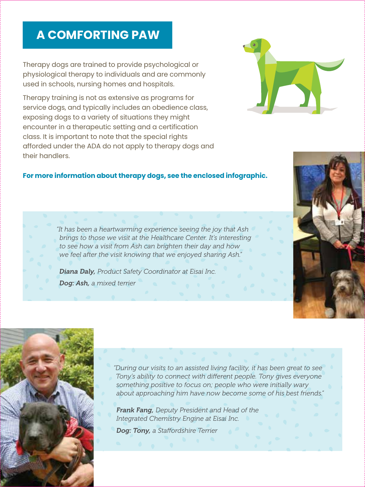# **A COMFORTING PAW**

Therapy dogs are trained to provide psychological or physiological therapy to individuals and are commonly used in schools, nursing homes and hospitals.

Therapy training is not as extensive as programs for service dogs, and typically includes an obedience class, exposing dogs to a variety of situations they might encounter in a therapeutic setting and a certification class. It is important to note that the special rights afforded under the ADA do not apply to therapy dogs and their handlers.

#### **For more information about therapy dogs, see the enclosed infographic.**

*"It has been a heartwarming experience seeing the joy that Ash brings to those we visit at the Healthcare Center. It's interesting to see how a visit from Ash can brighten their day and how we feel after the visit knowing that we enjoyed sharing Ash."*

*Diana Daly, Product Safety Coordinator at Eisai Inc. Dog: Ash, a mixed terrier*



*Frank Fang, Deputy President and Head of the Integrated Chemistry Engine at Eisai Inc.* 

*Dog: Tony, a Staffordshire Terrier*





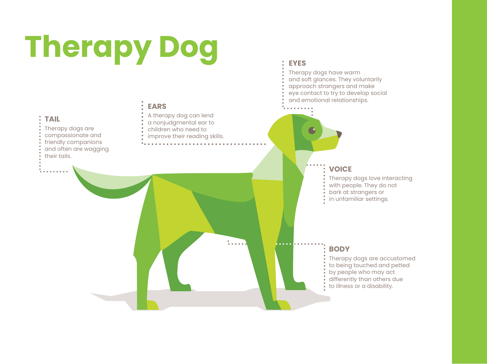# **Therapy Dog**

**TAIL**

their tails.

Therapy dogs are compassionate and friendly companions and often are wagging

#### **EARS**

- A therapy dog can lend
- a nonjudgmental ear to
- children who need to
- improve their reading skills.

#### **EYES**

- Therapy dogs have warm
- and soft glances. They voluntarily
- approach strangers and make
- eye contact to try to develop social
- and emotional relationships.

# **VOICE** Therapy dogs love interacting with people. They do not bark at strangers or in unfamiliar settings.

#### **BODY**

Therapy dogs are accustomed to being touched and petted by people who may act differently than others due to illness or a disability.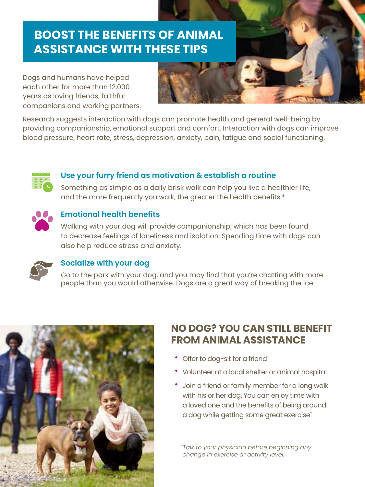# **BOOST THE BENEFITS OF ANIMAL ASSISTANCE WITH THESE TIPS**

Dogs and humans have helped each other for more than 12,000 years as loving friends, faithful companions and working partners.



Research suggests interaction with dogs can promote health and general well-being by providing companionship, emotional support and comfort. Interaction with dogs can improve blood pressure, heart rate, stress, depression, anxiety, pain, fatigue and social functioning.



#### **Use your furry friend as motivation & establish a routine**

Something as simple as a daily brisk walk can help you live a healthier life, and the more frequently you walk, the greater the health benefits.\*



#### **Emotional health benefits**

Walking with your dog will provide companionship, which has been found to decrease feelings of loneliness and isolation. Spending time with dogs can also help reduce stress and anxiety.



#### **Socialize with your dog**

Go to the park with your dog, and you may find that you're chatting with more people than you would otherwise. Dogs are a great way of breaking the ice.



### **NO DOG? YOU CAN STILL BENEFIT FROM ANIMAL ASSISTANCE**

- Offer to dog-sit for a friend
- Volunteer at a local shelter or animal hospital
- Join a friend or family member for a long walk with his or her dog. You can enjoy time with a loved one and the benefits of being around a dog while getting some great exercise\*

*\* Talk to your physician before beginning any change in exercise or activity level.*